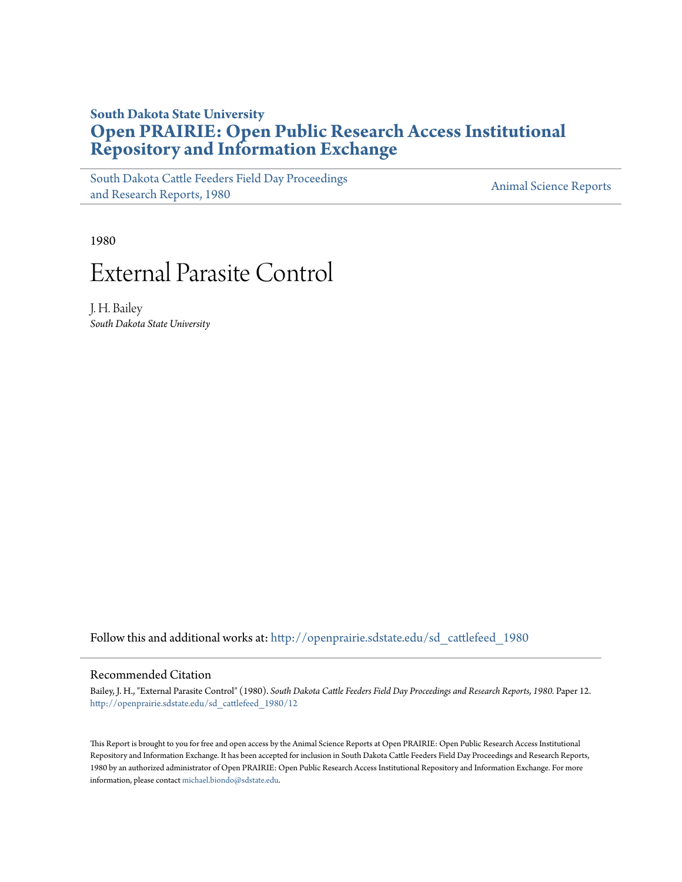## **South Dakota State University [Open PRAIRIE: Open Public Research Access Institutional](http://openprairie.sdstate.edu?utm_source=openprairie.sdstate.edu%2Fsd_cattlefeed_1980%2F12&utm_medium=PDF&utm_campaign=PDFCoverPages) [Repository and Information Exchange](http://openprairie.sdstate.edu?utm_source=openprairie.sdstate.edu%2Fsd_cattlefeed_1980%2F12&utm_medium=PDF&utm_campaign=PDFCoverPages)**

[South Dakota Cattle Feeders Field Day Proceedings](http://openprairie.sdstate.edu/sd_cattlefeed_1980?utm_source=openprairie.sdstate.edu%2Fsd_cattlefeed_1980%2F12&utm_medium=PDF&utm_campaign=PDFCoverPages) [and Research Reports, 1980](http://openprairie.sdstate.edu/sd_cattlefeed_1980?utm_source=openprairie.sdstate.edu%2Fsd_cattlefeed_1980%2F12&utm_medium=PDF&utm_campaign=PDFCoverPages)<br>and Research Reports, 1980

1980

# External Parasite Control

J. H. Bailey *South Dakota State University*

Follow this and additional works at: [http://openprairie.sdstate.edu/sd\\_cattlefeed\\_1980](http://openprairie.sdstate.edu/sd_cattlefeed_1980?utm_source=openprairie.sdstate.edu%2Fsd_cattlefeed_1980%2F12&utm_medium=PDF&utm_campaign=PDFCoverPages)

#### Recommended Citation

Bailey, J. H., "External Parasite Control" (1980). *South Dakota Cattle Feeders Field Day Proceedings and Research Reports, 1980.* Paper 12. [http://openprairie.sdstate.edu/sd\\_cattlefeed\\_1980/12](http://openprairie.sdstate.edu/sd_cattlefeed_1980/12?utm_source=openprairie.sdstate.edu%2Fsd_cattlefeed_1980%2F12&utm_medium=PDF&utm_campaign=PDFCoverPages)

This Report is brought to you for free and open access by the Animal Science Reports at Open PRAIRIE: Open Public Research Access Institutional Repository and Information Exchange. It has been accepted for inclusion in South Dakota Cattle Feeders Field Day Proceedings and Research Reports, 1980 by an authorized administrator of Open PRAIRIE: Open Public Research Access Institutional Repository and Information Exchange. For more information, please contact [michael.biondo@sdstate.edu](mailto:michael.biondo@sdstate.edu).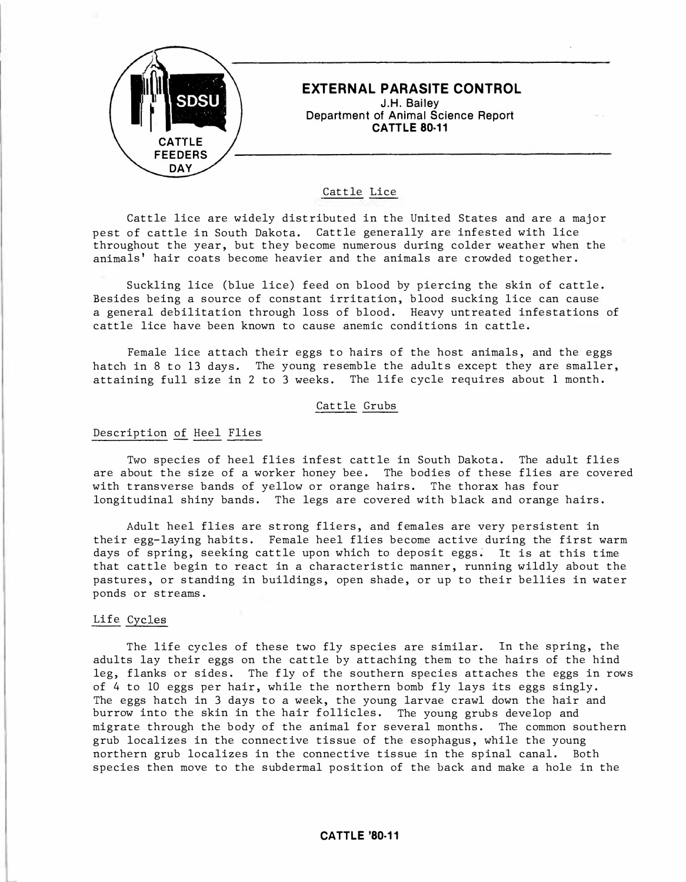

### Cattle Lice

Cattle lice are widely distributed in the United States and are a major pest of cattle in South Dakota. Cattle generally are infested with lice throughout the year, but they become numerous during colder weather when the animals' hair coats become heavier and the animals are crowded together.

Suckling lice (blue lice) feed on blood by piercing the skin of cattle. Besides being a source of constant irritation, blood sucking lice can cause a general debilitation through loss of blood. Heavy untreated infestations of cattle lice have been known to cause anemic conditions in cattle.

Female lice attach their eggs to hairs of the host animals, and the eggs hatch in 8 to 13 days. The young resemble the adults except they are smaller, attaining full size in 2 to 3 weeks. The life cycle requires about 1 month.

#### Cattle Grubs

#### Description of Heel Flies

Two species of heel flies infest cattle in South Dakota. The adult flies are about the size of a worker honey bee. The bodies of these flies are covered with transverse bands of yellow or orange hairs. The thorax has four longitudinal shiny bands. The legs are covered with black and orange hairs.

Adult heel flies are strong fliers, and females are very persistent in their egg-laying habits. Female heel flies become active during the first warm days of spring, seeking cattle upon which to deposit eggs. It is at this time that cattle begin to react in a characteristic manner, running wildly about the pastures, or standing in buildings, open shade, or up to their bellies in water ponds or streams .

#### Life Cycles

The life cycles of these two fly species are similar. In the spring, the adults lay their eggs on the cattle by attaching them to the hairs of the hind leg, flanks or sides. The fly of the southern species attaches the eggs in rows of 4 to 10 eggs per hair, while the northern bomb fly lays its eggs singly. The eggs hatch in 3 days to a week, the young larvae crawl down the hair and burrow into the skin in the hair follicles. The young grubs develop and migrate through the body of the animal for several months. The common southern grub localizes in the connective tissue of the esophagus, while the young northern grub localizes in the connective tissue in the spinal canal. Both species then move to the subdermal position of the back and make a hole in the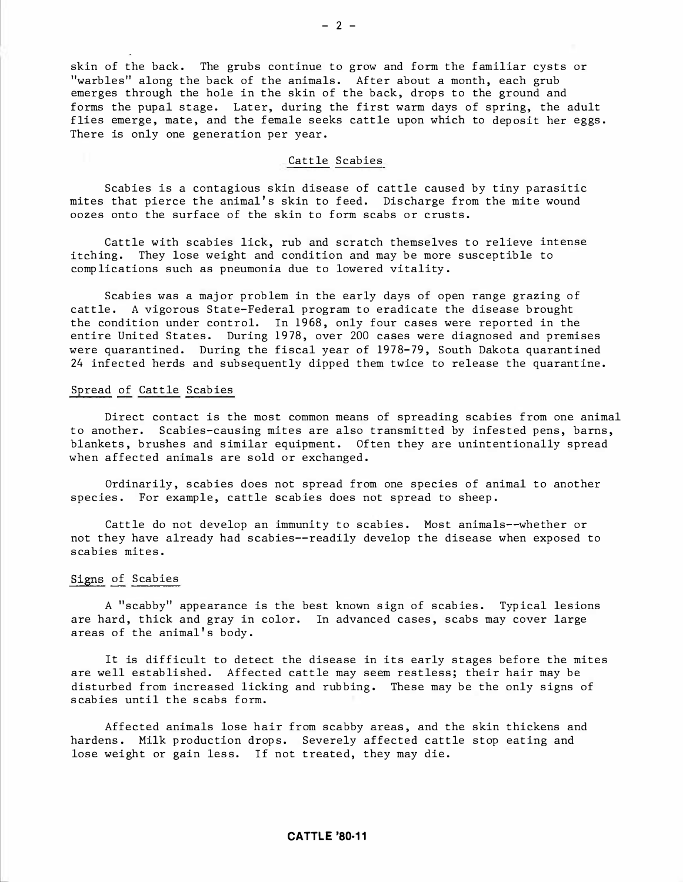skin of the back. The grubs continue to grow and form the familiar cysts or "warbles" along the back of the animals. After about a month, each grub emerges through the hole in the skin of the back, drops to the ground and forms the pupal stage. Later, during the first warm days of spring, the adult flies emerge, mate, and the female seeks cattle upon which to deposit her eggs. There is only one generation per year.

#### Cattle Scabies

Scabies is a contagious skin disease of cattle caused by tiny parasitic mites that pierce the animal's skin to feed. Discharge from the mite wound oozes onto the surface of the skin to form scabs or crusts.

Cattle with scabies lick, rub and scratch themselves to relieve intense itching. They lose weight and condition and may be more susceptible to comp lications such as pneumonia due to lowered vitality .

Scabies was a major problem in the early days of open range grazing of cattle. A vigorous State-Federal program to eradicate the disease brought the condition under control. In 1968 , only four cases were reported in the entire United States. During 1978, over 200 cases were diagnosed and premises were quarantined. During the fiscal year of 1978-79, South Dakota quarantined 24 infected herds and subsequently dipped them twice to release the quarantine.

#### Spread of Cattle Scabies

Direct contact is the most common means of spreading scabies from one animal to another. Scabies-causing mites are also transmitted by infested pens, barns, blankets, brushes and similar equipment. Often they are unintentionally spread when affected animals are sold or exchanged.

Ordinarily, scabies does not spread from one species of animal to another species. For example, cattle scabies does not spread to sheep.

Cattle do not develop an immunity to scabies. Most animals--whether or not they have already had scabies--readily develop the disease when exposed to scabies mites.

#### Signs of Scabies

A "scabby" appearance is the best known sign of scabies. Typical lesions are hard, thick and gray in color. In advanced cases, scabs may cover large areas of the animal's body.

It is difficult to detect the disease in its early stages before the mites are well established. Affected cattle may seem restless; their hair may be disturbed from increased licking and rubbing. These may be the only signs of scabies until the scabs form.

Affected animals lose hair from scabby areas, and the skin thickens and hardens. Milk production drops. Severely affected cattle stop eating and lose weight or gain less. If not treated, they may die.

#### **CATTLE '80-11**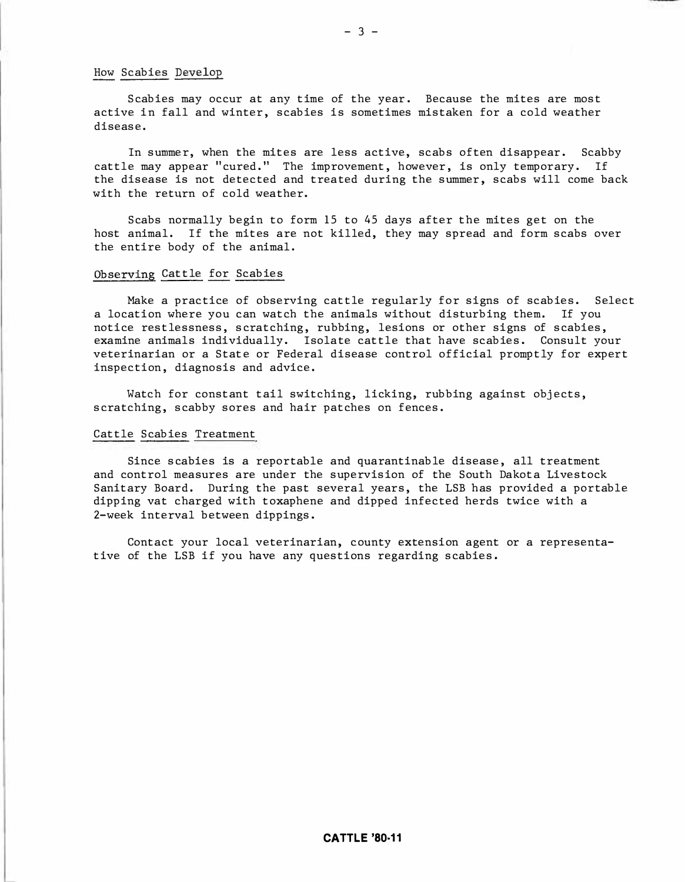#### How Scabies Develop

Scabies may occur at any time of the year. Because the mites are most active in fall and winter, scabies is sometimes mistaken for a cold weather diseas e .

In summer, when the mites are less active, scabs often disappear. Scabby cattle may appear "cured." The improvement, however, is only temporary. If the disease is not detected and treated during the summer, scabs will come back with the return of cold weather.

S cabs normally begin to form 15 to 45 days after the mites get on the host animal. If the mites are not killed, they may spread and form scabs over the entire body of the animal.

#### Observing Cattle for Scabies

Make a practice of observing cattle regularly for signs of scabies. Select a location where you can watch the animals without disturbing them. If you notice restlessness, scratching, rubbing, lesions or other signs of scabies, examine animals individually. Isolate cattle that have scabies. Consult your veterinarian or a State or Federal disease control official promptly for expert inspection, diagnosis and advice .

Watch for constant tail switching, licking, rubbing against objects, scratching, scabby sores and hair patches on fences.

#### Cattle Scabies Treatment

Since scabies is a reportable and quarantinable disease, all treatment and control measures are under the supervision of the South Dakota Livestock Sanitary Board. During the past several years, the LSB has provided a portable dipping vat charged with toxaphene and dipped infected herds twice with a 2-week interval between dippings.

Contact your local veterinarian, county extension agent or a representative of the LSB if you have any questions regarding scabies.